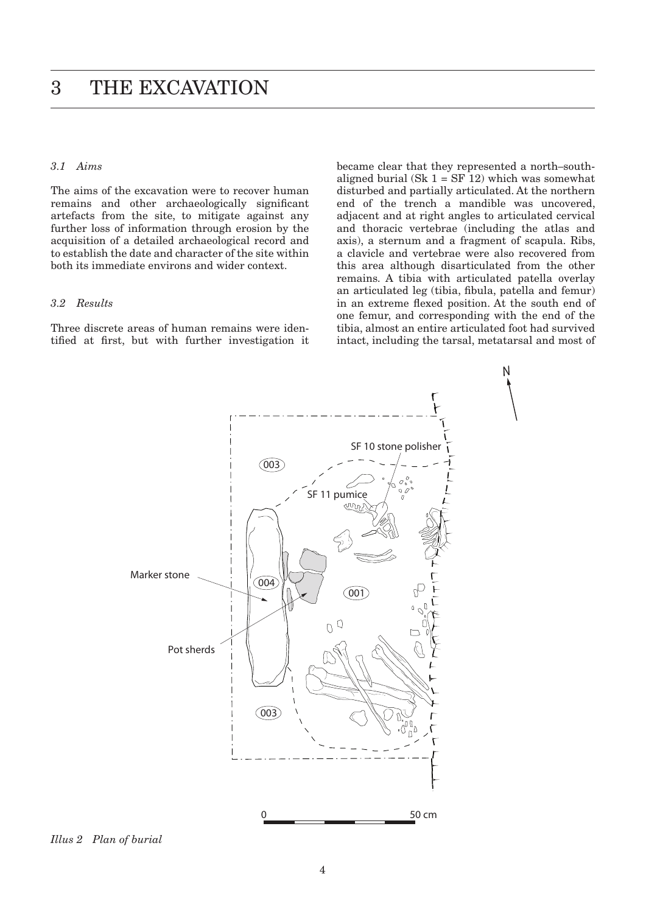## <span id="page-0-0"></span>*3.1 Aims*

The aims of the excavation were to recover human remains and other archaeologically significant artefacts from the site, to mitigate against any further loss of information through erosion by the acquisition of a detailed archaeological record and to establish the date and character of the site within both its immediate environs and wider context.

## *3.2 Results*

Three discrete areas of human remains were identified at first, but with further investigation it became clear that they represented a north–southaligned burial (Sk  $1 = SF 12$ ) which was somewhat disturbed and partially articulated. At the northern end of the trench a mandible was uncovered, adjacent and at right angles to articulated cervical and thoracic vertebrae (including the atlas and axis), a sternum and a fragment of scapula. Ribs, a clavicle and vertebrae were also recovered from this area although disarticulated from the other remains. A tibia with articulated patella overlay an articulated leg (tibia, fibula, patella and femur) in an extreme flexed position. At the south end of one femur, and corresponding with the end of the tibia, almost an entire articulated foot had survived intact, including the tarsal, metatarsal and most of

N



*Illus 2 Plan of burial*